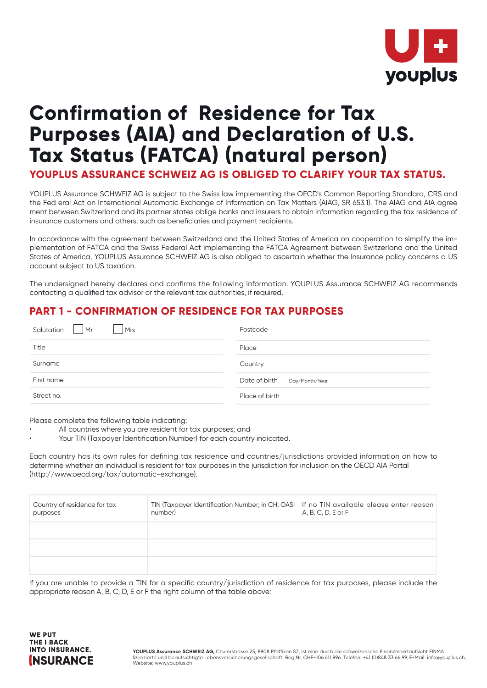

# **Confirmation of Residence for Tax Purposes (AIA) and Declaration of U.S. Tax Status (FATCA) (natural person)**

**YOUPLUS ASSURANCE SCHWEIZ AG IS OBLIGED TO CLARIFY YOUR TAX STATUS.**

YOUPLUS Assurance SCHWEIZ AG is subject to the Swiss law implementing the OECD's Common Reporting Standard, CRS and the Fed eral Act on International Automatic Exchange of Information on Tax Matters (AIAG, SR 653.1). The AIAG and AIA agree ment between Switzerland and its partner states oblige banks and insurers to obtain information regarding the tax residence of insurance customers and others, such as beneficiaries and payment recipients.

In accordance with the agreement between Switzerland and the United States of America on cooperation to simplify the implementation of FATCA and the Swiss Federal Act implementing the FATCA Agreement between Switzerland and the United States of America, YOUPLUS Assurance SCHWEIZ AG is also obliged to ascertain whether the lnsurance policy concerns a US account subject to US taxation.

The undersigned hereby declares and confirms the following information. YOUPLUS Assurance SCHWEIZ AG recommends contacting a qualified tax advisor or the relevant tax authorities, if required.

## **PART 1 - CONFIRMATION OF RESIDENCE FOR TAX PURPOSES**

| Salutation<br>Mr<br><b>Mrs</b> | Postcode                        |
|--------------------------------|---------------------------------|
| Title                          | Place                           |
| Surname                        | Country                         |
| First name                     | Date of birth<br>Day/Month/Year |
| Street no.                     | Place of birth                  |

Please complete the following table indicating:

- All countries where you are resident for tax purposes; and
- Your TIN (Taxpayer ldentification Number) for each country indicated.

Each country has its own rules for defining tax residence and countries/jurisdictions provided information on how to determine whether an individual is resident for tax purposes in the jurisdiction for inclusion on the OECD AIA Portal (http://www.oecd.org/tax/automatic-exchange).

| Country of residence for tax<br>purposes | TIN (Taxpayer Identification Number; in CH: OASI   If no TIN available please enter reason<br>number) | A, B, C, D, E or F |
|------------------------------------------|-------------------------------------------------------------------------------------------------------|--------------------|
|                                          |                                                                                                       |                    |
|                                          |                                                                                                       |                    |
|                                          |                                                                                                       |                    |

lf you are unable to provide a TIN for a specific country/jurisdiction of residence for tax purposes, please include the appropriate reason A, B, C, D, E or F the right column of the table above: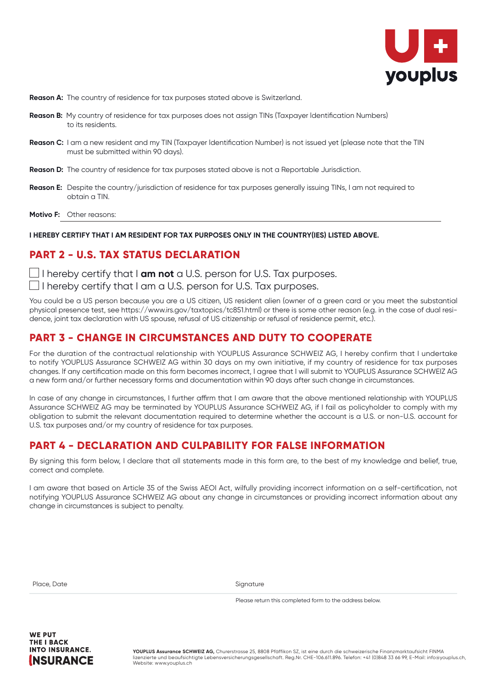

- **Reason A:** The country of residence for tax purposes stated above is Switzerland.
- **Reason B:** My country of residence for tax purposes does not assign TINs (Taxpayer ldentification Numbers) to its residents.
- **Reason C:** I am a new resident and my TIN (Taxpayer ldentification Number) is not issued yet (please note that the TIN must be submitted within 90 days).
- **Reason D:** The country of residence for tax purposes stated above is not a Reportable Jurisdiction.
- **Reason E:** Despite the country/jurisdiction of residence for tax purposes generally issuing TINs, I am not required to obtain a TIN.
- **Motivo F:** Other reasons:

#### **I HEREBY CERTIFY THAT I AM RESIDENT FOR TAX PURPOSES ONLY IN THE COUNTRY(IES) LISTED ABOVE.**

#### **PART 2 - U.S. TAX STATUS DECLARATION**

 $\Box$  I hereby certify that I **am not** a U.S. person for U.S. Tax purposes.

 $\Box$  I hereby certify that I am a U.S. person for U.S. Tax purposes.

You could be a US person because you are a US citizen, US resident alien (owner of a green card or you meet the substantial physical presence test, see https://www.irs.gov/taxtopics/tc851.html) or there is some other reason (e.g. in the case of dual residence, joint tax declaration with US spouse, refusal of US citizenship or refusal of residence permit, etc.).

#### **PART 3 - CHANGE IN CIRCUMSTANCES AND DUTY TO COOPERATE**

For the duration of the contractual relationship with YOUPLUS Assurance SCHWEIZ AG, I hereby confirm that I undertake to notify YOUPLUS Assurance SCHWEIZ AG within 30 days on my own initiative, if my country of residence for tax purposes changes. lf any certification made on this form becomes incorrect, I agree that I will submit to YOUPLUS Assurance SCHWEIZ AG a new form and/or further necessary forms and documentation within 90 days after such change in circumstances.

In case of any change in circumstances, I further affirm that I am aware that the above mentioned relationship with YOUPLUS Assurance SCHWEIZ AG may be terminated by YOUPLUS Assurance SCHWEIZ AG, if I fail as policyholder to comply with my obligation to submit the relevant documentation required to determine whether the account is a U.S. or non-U.S. account for U.S. tax purposes and/or my country of residence for tax purposes.

## **PART 4 - DECLARATION AND CULPABILITY FOR FALSE INFORMATION**

By signing this form below, I declare that all statements made in this form are, to the best of my knowledge and belief, true, correct and complete.

I am aware that based on Article 35 of the Swiss AEOI Act, wilfully providing incorrect information on a self-certification, not notifying YOUPLUS Assurance SCHWEIZ AG about any change in circumstances or providing incorrect information about any change in circumstances is subject to penalty.

| Place, Date |  |
|-------------|--|
|-------------|--|

Signature

Please return this completed form to the address below.

**WE DIIT THE I BACK INTO INSURANCE. INSURANCE** 

**YOUPLUS Assurance SCHWEIZ AG,** Churerstrasse 25, 8808 Pfäffikon SZ, ist eine durch die schweizerische Finanzmarktaufsicht FINMA lizenzierte und beaufsichtigte Lebensversicherungsgesellschaft. Reg.Nr. CHE-106.611.896. Telefon: +41 (0)848 33 66 99, E-Mail: info@youplus.ch, Website: www.youplus.ch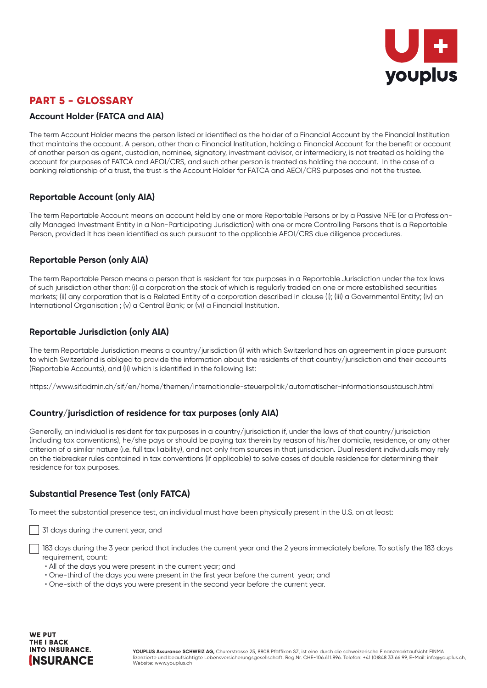

## **PART 5 - GLOSSARY**

#### **Account Holder (FATCA and AIA)**

The term Account Holder means the person listed or identified as the holder of a Financial Account by the Financial Institution that maintains the account. A person, other than a Financial Institution, holding a Financial Account for the benefit or account of another person as agent, custodian, nominee, signatory, investment advisor, or intermediary, is not treated as holding the account for purposes of FATCA and AEOI/CRS, and such other person is treated as holding the account. In the case of a banking relationship of a trust, the trust is the Account Holder for FATCA and AEOI/CRS purposes and not the trustee.

#### **Reportable Account (only AIA)**

The term Reportable Account means an account held by one or more Reportable Persons or by a Passive NFE (or a Professionally Managed Investment Entity in a Non-Participating Jurisdiction) with one or more Controlling Persons that is a Reportable Person, provided it has been identified as such pursuant to the applicable AEOI/CRS due diligence procedures.

#### **Reportable Person (only AIA)**

The term Reportable Person means a person that is resident for tax purposes in a Reportable Jurisdiction under the tax laws of such jurisdiction other than: (i) a corporation the stock of which is regularly traded on one or more established securities markets; (ii) any corporation that is a Related Entity of a corporation described in clause (i); (iii) a Governmental Entity; (iv) an International Organisation ; (v) a Central Bank; or (vi) a Financial Institution.

#### **Reportable Jurisdiction (only AIA)**

The term Reportable Jurisdiction means a country/jurisdiction (i) with which Switzerland has an agreement in place pursuant to which Switzerland is obliged to provide the information about the residents of that country/jurisdiction and their accounts (Reportable Accounts), and (ii) which is identified in the following list:

https://www.sif.admin.ch/sif/en/home/themen/internationale-steuerpolitik/automatischer-informationsaustausch.html

#### **Country/jurisdiction of residence for tax purposes (only AIA)**

Generally, an individual is resident for tax purposes in a country/jurisdiction if, under the laws of that country/jurisdiction (including tax conventions), he/she pays or should be paying tax therein by reason of his/her domicile, residence, or any other criterion of a similar nature (i.e. full tax liability), and not only from sources in that jurisdiction. Dual resident individuals may rely on the tiebreaker rules contained in tax conventions (if applicable) to solve cases of double residence for determining their residence for tax purposes.

#### **Substantial Presence Test (only FATCA)**

To meet the substantial presence test, an individual must have been physically present in the U.S. on at least:

31 days during the current year, and

 183 days during the 3 year period that includes the current year and the 2 years immediately before. To satisfy the 183 days requirement, count:

- All of the days you were present in the current year; and
- One-third of the days you were present in the first year before the current year; and
- One-sixth of the days you were present in the second year before the current year.